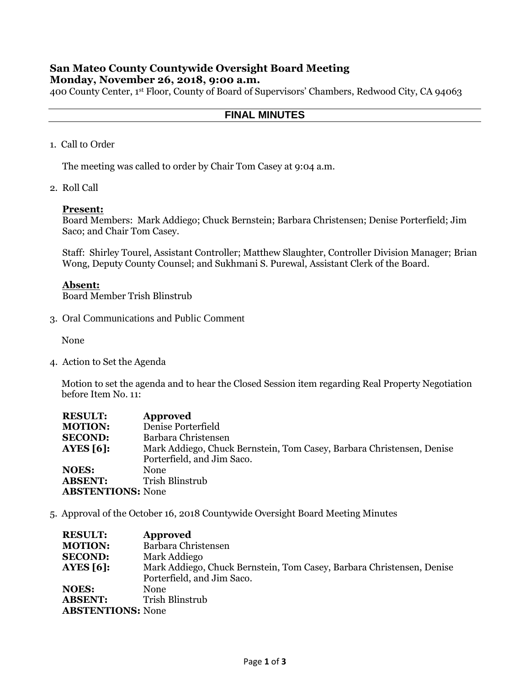## **San Mateo County Countywide Oversight Board Meeting Monday, November 26, 2018, 9:00 a.m.**

400 County Center, 1st Floor, County of Board of Supervisors' Chambers, Redwood City, CA 94063

### **FINAL MINUTES**

1. Call to Order

The meeting was called to order by Chair Tom Casey at 9:04 a.m.

2. Roll Call

#### **Present:**

Board Members: Mark Addiego; Chuck Bernstein; Barbara Christensen; Denise Porterfield; Jim Saco; and Chair Tom Casey.

Staff: Shirley Tourel, Assistant Controller; Matthew Slaughter, Controller Division Manager; Brian Wong, Deputy County Counsel; and Sukhmani S. Purewal, Assistant Clerk of the Board.

### **Absent:**

Board Member Trish Blinstrub

3. Oral Communications and Public Comment

None

4. Action to Set the Agenda

Motion to set the agenda and to hear the Closed Session item regarding Real Property Negotiation before Item No. 11:

| <b>RESULT:</b>           | <b>Approved</b>                                                       |
|--------------------------|-----------------------------------------------------------------------|
| <b>MOTION:</b>           | Denise Porterfield                                                    |
| <b>SECOND:</b>           | Barbara Christensen                                                   |
| AYES $[6]$ :             | Mark Addiego, Chuck Bernstein, Tom Casey, Barbara Christensen, Denise |
|                          | Porterfield, and Jim Saco.                                            |
| <b>NOES:</b>             | <b>None</b>                                                           |
| <b>ABSENT:</b>           | Trish Blinstrub                                                       |
| <b>ABSTENTIONS: None</b> |                                                                       |

5. Approval of the October 16, 2018 Countywide Oversight Board Meeting Minutes

| <b>RESULT:</b>           | <b>Approved</b>                                                       |
|--------------------------|-----------------------------------------------------------------------|
| <b>MOTION:</b>           | Barbara Christensen                                                   |
| <b>SECOND:</b>           | Mark Addiego                                                          |
| <b>AYES</b> [6]:         | Mark Addiego, Chuck Bernstein, Tom Casey, Barbara Christensen, Denise |
|                          | Porterfield, and Jim Saco.                                            |
| <b>NOES:</b>             | <b>None</b>                                                           |
| <b>ABSENT:</b>           | Trish Blinstrub                                                       |
| <b>ABSTENTIONS: None</b> |                                                                       |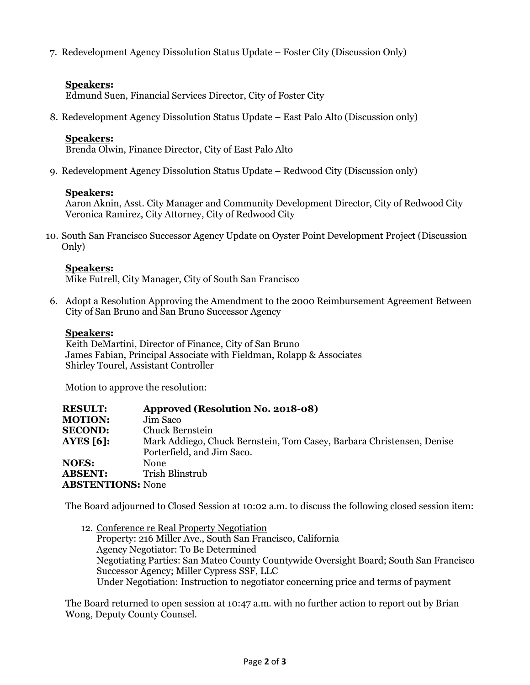7. Redevelopment Agency Dissolution Status Update – Foster City (Discussion Only)

# **Speakers:**

Edmund Suen, Financial Services Director, City of Foster City

8. Redevelopment Agency Dissolution Status Update – East Palo Alto (Discussion only)

## **Speakers:**

Brenda Olwin, Finance Director, City of East Palo Alto

9. Redevelopment Agency Dissolution Status Update – Redwood City (Discussion only)

### **Speakers:**

Aaron Aknin, Asst. City Manager and Community Development Director, City of Redwood City Veronica Ramirez, City Attorney, City of Redwood City

10. South San Francisco Successor Agency Update on Oyster Point Development Project (Discussion Only)

### **Speakers:**

Mike Futrell, City Manager, City of South San Francisco

6. Adopt a Resolution Approving the Amendment to the 2000 Reimbursement Agreement Between City of San Bruno and San Bruno Successor Agency

### **Speakers:**

Keith DeMartini, Director of Finance, City of San Bruno James Fabian, Principal Associate with Fieldman, Rolapp & Associates Shirley Tourel, Assistant Controller

Motion to approve the resolution:

| <b>RESULT:</b>           | Approved (Resolution No. 2018-08)                                     |
|--------------------------|-----------------------------------------------------------------------|
| <b>MOTION:</b>           | Jim Saco                                                              |
| <b>SECOND:</b>           | Chuck Bernstein                                                       |
| AYES $[6]$ :             | Mark Addiego, Chuck Bernstein, Tom Casey, Barbara Christensen, Denise |
|                          | Porterfield, and Jim Saco.                                            |
| <b>NOES:</b>             | <b>None</b>                                                           |
| <b>ABSENT:</b>           | Trish Blinstrub                                                       |
| <b>ABSTENTIONS: None</b> |                                                                       |

The Board adjourned to Closed Session at 10:02 a.m. to discuss the following closed session item:

12. Conference re Real Property Negotiation Property: 216 Miller Ave., South San Francisco, California Agency Negotiator: To Be Determined Negotiating Parties: San Mateo County Countywide Oversight Board; South San Francisco Successor Agency; Miller Cypress SSF, LLC Under Negotiation: Instruction to negotiator concerning price and terms of payment

The Board returned to open session at 10:47 a.m. with no further action to report out by Brian Wong, Deputy County Counsel.